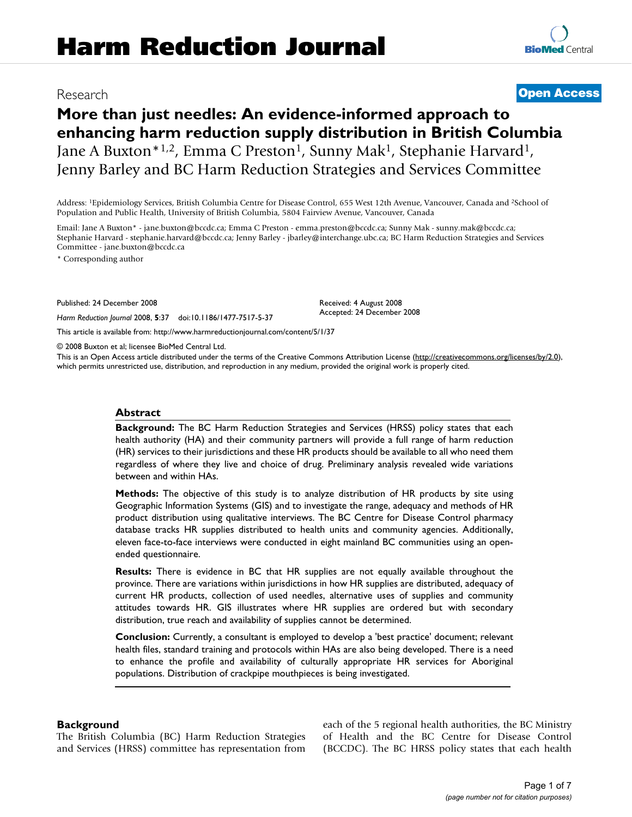# **More than just needles: An evidence-informed approach to enhancing harm reduction supply distribution in British Columbia** Jane A Buxton<sup>\*1,2</sup>, Emma C Preston<sup>1</sup>, Sunny Mak<sup>1</sup>, Stephanie Harvard<sup>1</sup>, Jenny Barley and BC Harm Reduction Strategies and Services Committee

Address: 1Epidemiology Services, British Columbia Centre for Disease Control, 655 West 12th Avenue, Vancouver, Canada and 2School of Population and Public Health, University of British Columbia, 5804 Fairview Avenue, Vancouver, Canada

Email: Jane A Buxton\* - jane.buxton@bccdc.ca; Emma C Preston - emma.preston@bccdc.ca; Sunny Mak - sunny.mak@bccdc.ca; Stephanie Harvard - stephanie.harvard@bccdc.ca; Jenny Barley - jbarley@interchange.ubc.ca; BC Harm Reduction Strategies and Services Committee - jane.buxton@bccdc.ca

\* Corresponding author

Published: 24 December 2008

*Harm Reduction Journal* 2008, **5**:37 doi:10.1186/1477-7517-5-37

Accepted: 24 December 2008 [This article is available from: http://www.harmreductionjournal.com/content/5/1/37](http://www.harmreductionjournal.com/content/5/1/37)

© 2008 Buxton et al; licensee BioMed Central Ltd.

This is an Open Access article distributed under the terms of the Creative Commons Attribution License [\(http://creativecommons.org/licenses/by/2.0\)](http://creativecommons.org/licenses/by/2.0), which permits unrestricted use, distribution, and reproduction in any medium, provided the original work is properly cited.

Received: 4 August 2008

#### **Abstract**

**Background:** The BC Harm Reduction Strategies and Services (HRSS) policy states that each health authority (HA) and their community partners will provide a full range of harm reduction (HR) services to their jurisdictions and these HR products should be available to all who need them regardless of where they live and choice of drug. Preliminary analysis revealed wide variations between and within HAs.

**Methods:** The objective of this study is to analyze distribution of HR products by site using Geographic Information Systems (GIS) and to investigate the range, adequacy and methods of HR product distribution using qualitative interviews. The BC Centre for Disease Control pharmacy database tracks HR supplies distributed to health units and community agencies. Additionally, eleven face-to-face interviews were conducted in eight mainland BC communities using an openended questionnaire.

**Results:** There is evidence in BC that HR supplies are not equally available throughout the province. There are variations within jurisdictions in how HR supplies are distributed, adequacy of current HR products, collection of used needles, alternative uses of supplies and community attitudes towards HR. GIS illustrates where HR supplies are ordered but with secondary distribution, true reach and availability of supplies cannot be determined.

**Conclusion:** Currently, a consultant is employed to develop a 'best practice' document; relevant health files, standard training and protocols within HAs are also being developed. There is a need to enhance the profile and availability of culturally appropriate HR services for Aboriginal populations. Distribution of crackpipe mouthpieces is being investigated.

#### **Background**

The British Columbia (BC) Harm Reduction Strategies and Services (HRSS) committee has representation from each of the 5 regional health authorities, the BC Ministry of Health and the BC Centre for Disease Control (BCCDC). The BC HRSS policy states that each health

## Research **[Open Access](http://www.biomedcentral.com/info/about/charter/)**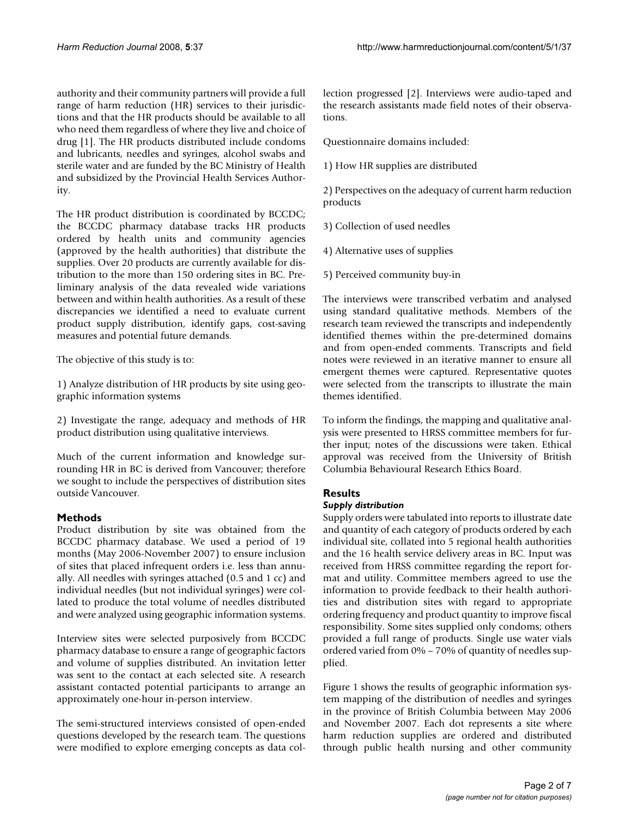authority and their community partners will provide a full range of harm reduction (HR) services to their jurisdictions and that the HR products should be available to all who need them regardless of where they live and choice of drug [1]. The HR products distributed include condoms and lubricants, needles and syringes, alcohol swabs and sterile water and are funded by the BC Ministry of Health and subsidized by the Provincial Health Services Authority.

The HR product distribution is coordinated by BCCDC; the BCCDC pharmacy database tracks HR products ordered by health units and community agencies (approved by the health authorities) that distribute the supplies. Over 20 products are currently available for distribution to the more than 150 ordering sites in BC. Preliminary analysis of the data revealed wide variations between and within health authorities. As a result of these discrepancies we identified a need to evaluate current product supply distribution, identify gaps, cost-saving measures and potential future demands.

The objective of this study is to:

1) Analyze distribution of HR products by site using geographic information systems

2) Investigate the range, adequacy and methods of HR product distribution using qualitative interviews.

Much of the current information and knowledge surrounding HR in BC is derived from Vancouver; therefore we sought to include the perspectives of distribution sites outside Vancouver.

#### **Methods**

Product distribution by site was obtained from the BCCDC pharmacy database. We used a period of 19 months (May 2006-November 2007) to ensure inclusion of sites that placed infrequent orders i.e. less than annually. All needles with syringes attached (0.5 and 1 cc) and individual needles (but not individual syringes) were collated to produce the total volume of needles distributed and were analyzed using geographic information systems.

Interview sites were selected purposively from BCCDC pharmacy database to ensure a range of geographic factors and volume of supplies distributed. An invitation letter was sent to the contact at each selected site. A research assistant contacted potential participants to arrange an approximately one-hour in-person interview.

The semi-structured interviews consisted of open-ended questions developed by the research team. The questions were modified to explore emerging concepts as data collection progressed [2]. Interviews were audio-taped and the research assistants made field notes of their observations.

Questionnaire domains included:

1) How HR supplies are distributed

2) Perspectives on the adequacy of current harm reduction products

3) Collection of used needles

4) Alternative uses of supplies

5) Perceived community buy-in

The interviews were transcribed verbatim and analysed using standard qualitative methods. Members of the research team reviewed the transcripts and independently identified themes within the pre-determined domains and from open-ended comments. Transcripts and field notes were reviewed in an iterative manner to ensure all emergent themes were captured. Representative quotes were selected from the transcripts to illustrate the main themes identified.

To inform the findings, the mapping and qualitative analysis were presented to HRSS committee members for further input; notes of the discussions were taken. Ethical approval was received from the University of British Columbia Behavioural Research Ethics Board.

#### **Results**

#### *Supply distribution*

Supply orders were tabulated into reports to illustrate date and quantity of each category of products ordered by each individual site, collated into 5 regional health authorities and the 16 health service delivery areas in BC. Input was received from HRSS committee regarding the report format and utility. Committee members agreed to use the information to provide feedback to their health authorities and distribution sites with regard to appropriate ordering frequency and product quantity to improve fiscal responsibility. Some sites supplied only condoms; others provided a full range of products. Single use water vials ordered varied from 0% – 70% of quantity of needles supplied.

Figure 1 shows the results of geographic information system mapping of the distribution of needles and syringes in the province of British Columbia between May 2006 and November 2007. Each dot represents a site where harm reduction supplies are ordered and distributed through public health nursing and other community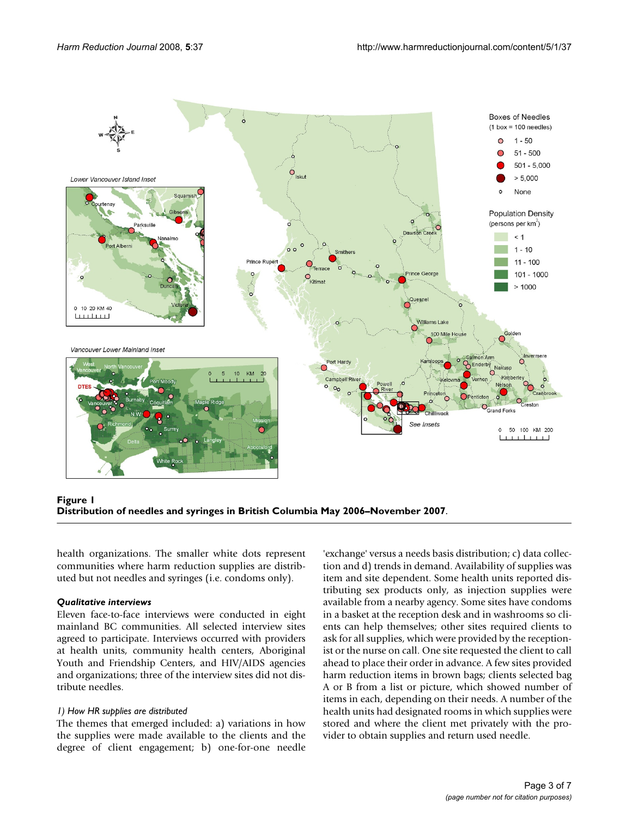

### Distribution of needles and syringes in **Figure 1** British Columbia May 2006–November 2007 **Distribution of needles and syringes in British Columbia May 2006–November 2007**.

health organizations. The smaller white dots represent communities where harm reduction supplies are distributed but not needles and syringes (i.e. condoms only).

#### *Qualitative interviews*

Eleven face-to-face interviews were conducted in eight mainland BC communities. All selected interview sites agreed to participate. Interviews occurred with providers at health units, community health centers, Aboriginal Youth and Friendship Centers, and HIV/AIDS agencies and organizations; three of the interview sites did not distribute needles.

#### *1) How HR supplies are distributed*

The themes that emerged included: a) variations in how the supplies were made available to the clients and the degree of client engagement; b) one-for-one needle

'exchange' versus a needs basis distribution; c) data collection and d) trends in demand. Availability of supplies was item and site dependent. Some health units reported distributing sex products only, as injection supplies were available from a nearby agency. Some sites have condoms in a basket at the reception desk and in washrooms so clients can help themselves; other sites required clients to ask for all supplies, which were provided by the receptionist or the nurse on call. One site requested the client to call ahead to place their order in advance. A few sites provided harm reduction items in brown bags; clients selected bag A or B from a list or picture, which showed number of items in each, depending on their needs. A number of the health units had designated rooms in which supplies were stored and where the client met privately with the provider to obtain supplies and return used needle.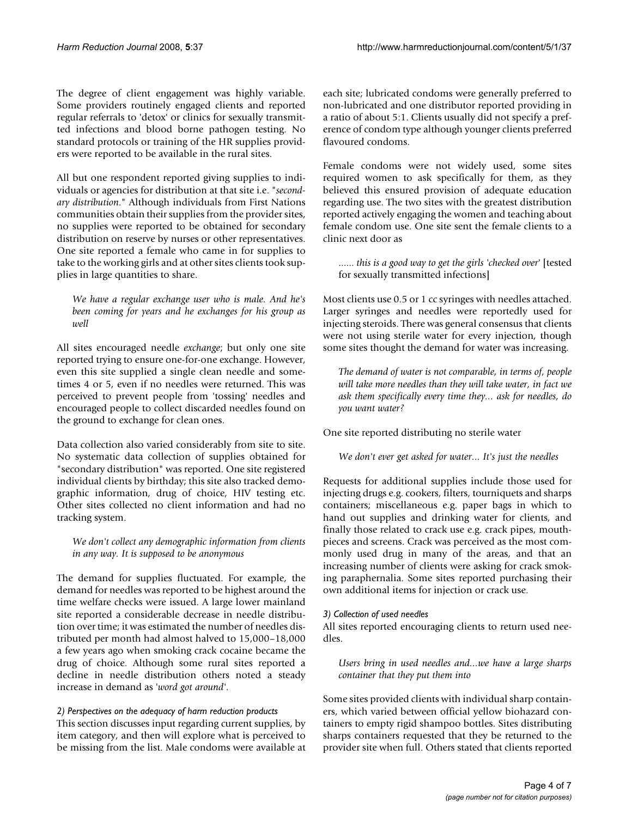The degree of client engagement was highly variable. Some providers routinely engaged clients and reported regular referrals to 'detox' or clinics for sexually transmitted infections and blood borne pathogen testing. No standard protocols or training of the HR supplies providers were reported to be available in the rural sites.

All but one respondent reported giving supplies to individuals or agencies for distribution at that site i.e. "*secondary distribution*." Although individuals from First Nations communities obtain their supplies from the provider sites, no supplies were reported to be obtained for secondary distribution on reserve by nurses or other representatives. One site reported a female who came in for supplies to take to the working girls and at other sites clients took supplies in large quantities to share.

*We have a regular exchange user who is male. And he's been coming for years and he exchanges for his group as well*

All sites encouraged needle *exchange*; but only one site reported trying to ensure one-for-one exchange. However, even this site supplied a single clean needle and sometimes 4 or 5, even if no needles were returned. This was perceived to prevent people from 'tossing' needles and encouraged people to collect discarded needles found on the ground to exchange for clean ones.

Data collection also varied considerably from site to site. No systematic data collection of supplies obtained for "secondary distribution" was reported. One site registered individual clients by birthday; this site also tracked demographic information, drug of choice, HIV testing etc. Other sites collected no client information and had no tracking system.

*We don't collect any demographic information from clients in any way. It is supposed to be anonymous*

The demand for supplies fluctuated. For example, the demand for needles was reported to be highest around the time welfare checks were issued. A large lower mainland site reported a considerable decrease in needle distribution over time; it was estimated the number of needles distributed per month had almost halved to 15,000–18,000 a few years ago when smoking crack cocaine became the drug of choice. Although some rural sites reported a decline in needle distribution others noted a steady increase in demand as '*word got around'*.

#### *2) Perspectives on the adequacy of harm reduction products*

This section discusses input regarding current supplies, by item category, and then will explore what is perceived to be missing from the list. Male condoms were available at each site; lubricated condoms were generally preferred to non-lubricated and one distributor reported providing in a ratio of about 5:1. Clients usually did not specify a preference of condom type although younger clients preferred flavoured condoms.

Female condoms were not widely used, some sites required women to ask specifically for them, as they believed this ensured provision of adequate education regarding use. The two sites with the greatest distribution reported actively engaging the women and teaching about female condom use. One site sent the female clients to a clinic next door as

...... *this is a good way to get the girls 'checked over*' [tested for sexually transmitted infections]

Most clients use 0.5 or 1 cc syringes with needles attached. Larger syringes and needles were reportedly used for injecting steroids. There was general consensus that clients were not using sterile water for every injection, though some sites thought the demand for water was increasing.

*The demand of water is not comparable, in terms of, people will take more needles than they will take water, in fact we ask them specifically every time they... ask for needles, do you want water?*

One site reported distributing no sterile water

*We don't ever get asked for water... It's just the needles*

Requests for additional supplies include those used for injecting drugs e.g. cookers, filters, tourniquets and sharps containers; miscellaneous e.g. paper bags in which to hand out supplies and drinking water for clients, and finally those related to crack use e.g. crack pipes, mouthpieces and screens. Crack was perceived as the most commonly used drug in many of the areas, and that an increasing number of clients were asking for crack smoking paraphernalia. Some sites reported purchasing their own additional items for injection or crack use.

#### *3) Collection of used needles*

All sites reported encouraging clients to return used needles.

*Users bring in used needles and...we have a large sharps container that they put them into*

Some sites provided clients with individual sharp containers, which varied between official yellow biohazard containers to empty rigid shampoo bottles. Sites distributing sharps containers requested that they be returned to the provider site when full. Others stated that clients reported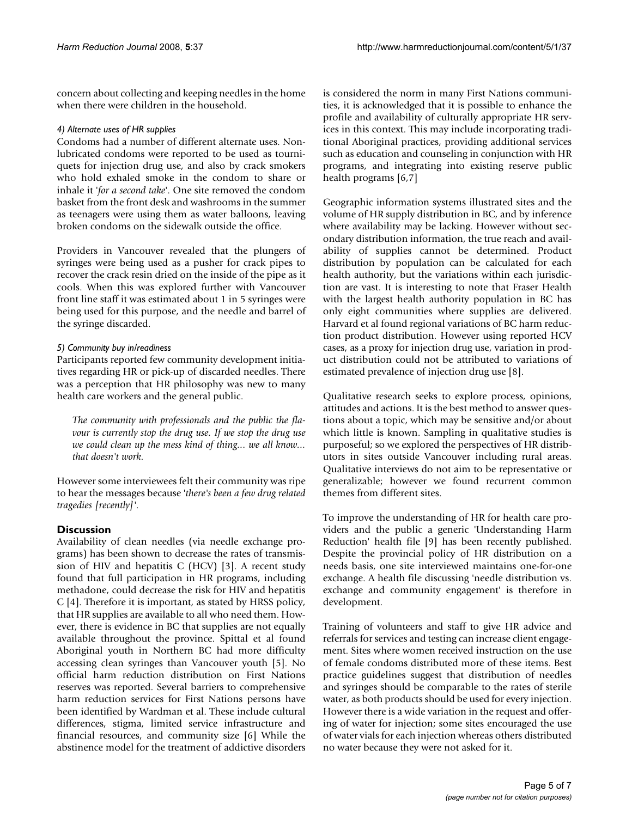concern about collecting and keeping needles in the home when there were children in the household.

#### *4) Alternate uses of HR supplies*

Condoms had a number of different alternate uses. Nonlubricated condoms were reported to be used as tourniquets for injection drug use, and also by crack smokers who hold exhaled smoke in the condom to share or inhale it '*for a second take*'. One site removed the condom basket from the front desk and washrooms in the summer as teenagers were using them as water balloons, leaving broken condoms on the sidewalk outside the office.

Providers in Vancouver revealed that the plungers of syringes were being used as a pusher for crack pipes to recover the crack resin dried on the inside of the pipe as it cools. When this was explored further with Vancouver front line staff it was estimated about 1 in 5 syringes were being used for this purpose, and the needle and barrel of the syringe discarded.

#### *5) Community buy in/readiness*

Participants reported few community development initiatives regarding HR or pick-up of discarded needles. There was a perception that HR philosophy was new to many health care workers and the general public.

*The community with professionals and the public the flavour is currently stop the drug use. If we stop the drug use we could clean up the mess kind of thing... we all know... that doesn't work*.

However some interviewees felt their community was ripe to hear the messages because '*there's been a few drug related tragedies [recently]'*.

#### **Discussion**

Availability of clean needles (via needle exchange programs) has been shown to decrease the rates of transmission of HIV and hepatitis C (HCV) [3]. A recent study found that full participation in HR programs, including methadone, could decrease the risk for HIV and hepatitis C [4]. Therefore it is important, as stated by HRSS policy, that HR supplies are available to all who need them. However, there is evidence in BC that supplies are not equally available throughout the province. Spittal et al found Aboriginal youth in Northern BC had more difficulty accessing clean syringes than Vancouver youth [5]. No official harm reduction distribution on First Nations reserves was reported. Several barriers to comprehensive harm reduction services for First Nations persons have been identified by Wardman et al. These include cultural differences, stigma, limited service infrastructure and financial resources, and community size [6] While the abstinence model for the treatment of addictive disorders

is considered the norm in many First Nations communities, it is acknowledged that it is possible to enhance the profile and availability of culturally appropriate HR services in this context. This may include incorporating traditional Aboriginal practices, providing additional services such as education and counseling in conjunction with HR programs, and integrating into existing reserve public health programs [6,7]

Geographic information systems illustrated sites and the volume of HR supply distribution in BC, and by inference where availability may be lacking. However without secondary distribution information, the true reach and availability of supplies cannot be determined. Product distribution by population can be calculated for each health authority, but the variations within each jurisdiction are vast. It is interesting to note that Fraser Health with the largest health authority population in BC has only eight communities where supplies are delivered. Harvard et al found regional variations of BC harm reduction product distribution. However using reported HCV cases, as a proxy for injection drug use, variation in product distribution could not be attributed to variations of estimated prevalence of injection drug use [8].

Qualitative research seeks to explore process, opinions, attitudes and actions. It is the best method to answer questions about a topic, which may be sensitive and/or about which little is known. Sampling in qualitative studies is purposeful; so we explored the perspectives of HR distributors in sites outside Vancouver including rural areas. Qualitative interviews do not aim to be representative or generalizable; however we found recurrent common themes from different sites.

To improve the understanding of HR for health care providers and the public a generic 'Understanding Harm Reduction' health file [9] has been recently published. Despite the provincial policy of HR distribution on a needs basis, one site interviewed maintains one-for-one exchange. A health file discussing 'needle distribution vs. exchange and community engagement' is therefore in development.

Training of volunteers and staff to give HR advice and referrals for services and testing can increase client engagement. Sites where women received instruction on the use of female condoms distributed more of these items. Best practice guidelines suggest that distribution of needles and syringes should be comparable to the rates of sterile water, as both products should be used for every injection. However there is a wide variation in the request and offering of water for injection; some sites encouraged the use of water vials for each injection whereas others distributed no water because they were not asked for it.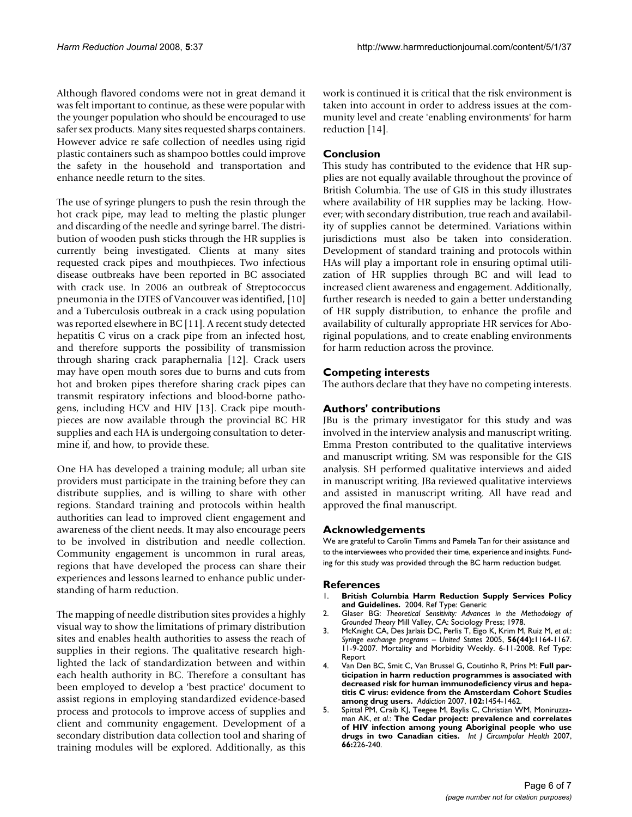Although flavored condoms were not in great demand it was felt important to continue, as these were popular with the younger population who should be encouraged to use safer sex products. Many sites requested sharps containers. However advice re safe collection of needles using rigid plastic containers such as shampoo bottles could improve the safety in the household and transportation and enhance needle return to the sites.

The use of syringe plungers to push the resin through the hot crack pipe, may lead to melting the plastic plunger and discarding of the needle and syringe barrel. The distribution of wooden push sticks through the HR supplies is currently being investigated. Clients at many sites requested crack pipes and mouthpieces. Two infectious disease outbreaks have been reported in BC associated with crack use. In 2006 an outbreak of Streptococcus pneumonia in the DTES of Vancouver was identified, [10] and a Tuberculosis outbreak in a crack using population was reported elsewhere in BC [11]. A recent study detected hepatitis C virus on a crack pipe from an infected host, and therefore supports the possibility of transmission through sharing crack paraphernalia [12]. Crack users may have open mouth sores due to burns and cuts from hot and broken pipes therefore sharing crack pipes can transmit respiratory infections and blood-borne pathogens, including HCV and HIV [13]. Crack pipe mouthpieces are now available through the provincial BC HR supplies and each HA is undergoing consultation to determine if, and how, to provide these.

One HA has developed a training module; all urban site providers must participate in the training before they can distribute supplies, and is willing to share with other regions. Standard training and protocols within health authorities can lead to improved client engagement and awareness of the client needs. It may also encourage peers to be involved in distribution and needle collection. Community engagement is uncommon in rural areas, regions that have developed the process can share their experiences and lessons learned to enhance public understanding of harm reduction.

The mapping of needle distribution sites provides a highly visual way to show the limitations of primary distribution sites and enables health authorities to assess the reach of supplies in their regions. The qualitative research highlighted the lack of standardization between and within each health authority in BC. Therefore a consultant has been employed to develop a 'best practice' document to assist regions in employing standardized evidence-based process and protocols to improve access of supplies and client and community engagement. Development of a secondary distribution data collection tool and sharing of training modules will be explored. Additionally, as this work is continued it is critical that the risk environment is taken into account in order to address issues at the community level and create 'enabling environments' for harm reduction [14].

#### **Conclusion**

This study has contributed to the evidence that HR supplies are not equally available throughout the province of British Columbia. The use of GIS in this study illustrates where availability of HR supplies may be lacking. However; with secondary distribution, true reach and availability of supplies cannot be determined. Variations within jurisdictions must also be taken into consideration. Development of standard training and protocols within HAs will play a important role in ensuring optimal utilization of HR supplies through BC and will lead to increased client awareness and engagement. Additionally, further research is needed to gain a better understanding of HR supply distribution, to enhance the profile and availability of culturally appropriate HR services for Aboriginal populations, and to create enabling environments for harm reduction across the province.

#### **Competing interests**

The authors declare that they have no competing interests.

#### **Authors' contributions**

JBu is the primary investigator for this study and was involved in the interview analysis and manuscript writing. Emma Preston contributed to the qualitative interviews and manuscript writing. SM was responsible for the GIS analysis. SH performed qualitative interviews and aided in manuscript writing. JBa reviewed qualitative interviews and assisted in manuscript writing. All have read and approved the final manuscript.

#### **Acknowledgements**

We are grateful to Carolin Timms and Pamela Tan for their assistance and to the interviewees who provided their time, experience and insights. Funding for this study was provided through the BC harm reduction budget.

#### **References**

- 1. **British Columbia Harm Reduction Supply Services Policy and Guidelines.** 2004. Ref Type: Generic
- 2. Glaser BG: *Theoretical Sensitivity: Advances in the Methodology of Grounded Theory* Mill Valley, CA: Sociology Press; 1978.
- 3. McKnight CA, Des Jarlais DC, Perlis T, Eigo K, Krim M, Ruiz M, *et al.*: *Syringe exchange programs – United States* 2005, **56(44):**1164-1167. 11-9-2007. Mortality and Morbidity Weekly. 6-11-2008. Ref Type: Report
- 4. Van Den BC, Smit C, Van Brussel G, Coutinho R, Prins M: **[Full par](http://www.ncbi.nlm.nih.gov/entrez/query.fcgi?cmd=Retrieve&db=PubMed&dopt=Abstract&list_uids=17697278)[ticipation in harm reduction programmes is associated with](http://www.ncbi.nlm.nih.gov/entrez/query.fcgi?cmd=Retrieve&db=PubMed&dopt=Abstract&list_uids=17697278) decreased risk for human immunodeficiency virus and hepatitis C virus: evidence from the Amsterdam Cohort Studies [among drug users.](http://www.ncbi.nlm.nih.gov/entrez/query.fcgi?cmd=Retrieve&db=PubMed&dopt=Abstract&list_uids=17697278)** *Addiction* 2007, **102:**1454-1462.
- 5. Spittal PM, Craib KJ, Teegee M, Baylis C, Christian WM, Moniruzzaman AK, *et al.*: **[The Cedar project: prevalence and correlates](http://www.ncbi.nlm.nih.gov/entrez/query.fcgi?cmd=Retrieve&db=PubMed&dopt=Abstract&list_uids=17655063) [of HIV infection among young Aboriginal people who use](http://www.ncbi.nlm.nih.gov/entrez/query.fcgi?cmd=Retrieve&db=PubMed&dopt=Abstract&list_uids=17655063) [drugs in two Canadian cities.](http://www.ncbi.nlm.nih.gov/entrez/query.fcgi?cmd=Retrieve&db=PubMed&dopt=Abstract&list_uids=17655063)** *Int J Circumpolar Health* 2007, **66:**226-240.